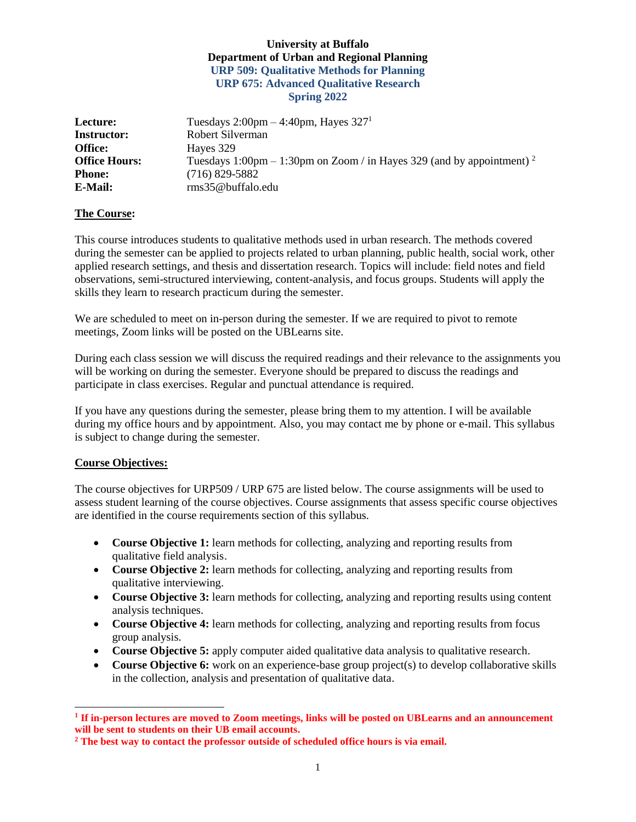# **University at Buffalo Department of Urban and Regional Planning URP 509: Qualitative Methods for Planning URP 675: Advanced Qualitative Research Spring 2022**

| Lecture:             | Tuesdays $2:00 \text{pm} - 4:40 \text{pm}$ , Hayes $3271$                         |
|----------------------|-----------------------------------------------------------------------------------|
| <b>Instructor:</b>   | Robert Silverman                                                                  |
| <b>Office:</b>       | Hayes 329                                                                         |
| <b>Office Hours:</b> | Tuesdays 1:00pm – 1:30pm on Zoom / in Hayes 329 (and by appointment) <sup>2</sup> |
| <b>Phone:</b>        | $(716)$ 829-5882                                                                  |
| E-Mail:              | $rms35@$ buffalo.edu                                                              |

# **The Course:**

This course introduces students to qualitative methods used in urban research. The methods covered during the semester can be applied to projects related to urban planning, public health, social work, other applied research settings, and thesis and dissertation research. Topics will include: field notes and field observations, semi-structured interviewing, content-analysis, and focus groups. Students will apply the skills they learn to research practicum during the semester.

We are scheduled to meet on in-person during the semester. If we are required to pivot to remote meetings, Zoom links will be posted on the UBLearns site.

During each class session we will discuss the required readings and their relevance to the assignments you will be working on during the semester. Everyone should be prepared to discuss the readings and participate in class exercises. Regular and punctual attendance is required.

If you have any questions during the semester, please bring them to my attention. I will be available during my office hours and by appointment. Also, you may contact me by phone or e-mail. This syllabus is subject to change during the semester.

# **Course Objectives:**

l

The course objectives for URP509 / URP 675 are listed below. The course assignments will be used to assess student learning of the course objectives. Course assignments that assess specific course objectives are identified in the course requirements section of this syllabus.

- **Course Objective 1:** learn methods for collecting, analyzing and reporting results from qualitative field analysis.
- **Course Objective 2:** learn methods for collecting, analyzing and reporting results from qualitative interviewing.
- **Course Objective 3:** learn methods for collecting, analyzing and reporting results using content analysis techniques.
- **Course Objective 4:** learn methods for collecting, analyzing and reporting results from focus group analysis.
- **Course Objective 5:** apply computer aided qualitative data analysis to qualitative research.
- **Course Objective 6:** work on an experience-base group project(s) to develop collaborative skills in the collection, analysis and presentation of qualitative data.

**<sup>1</sup> If in-person lectures are moved to Zoom meetings, links will be posted on UBLearns and an announcement will be sent to students on their UB email accounts.**

**<sup>2</sup> The best way to contact the professor outside of scheduled office hours is via email.**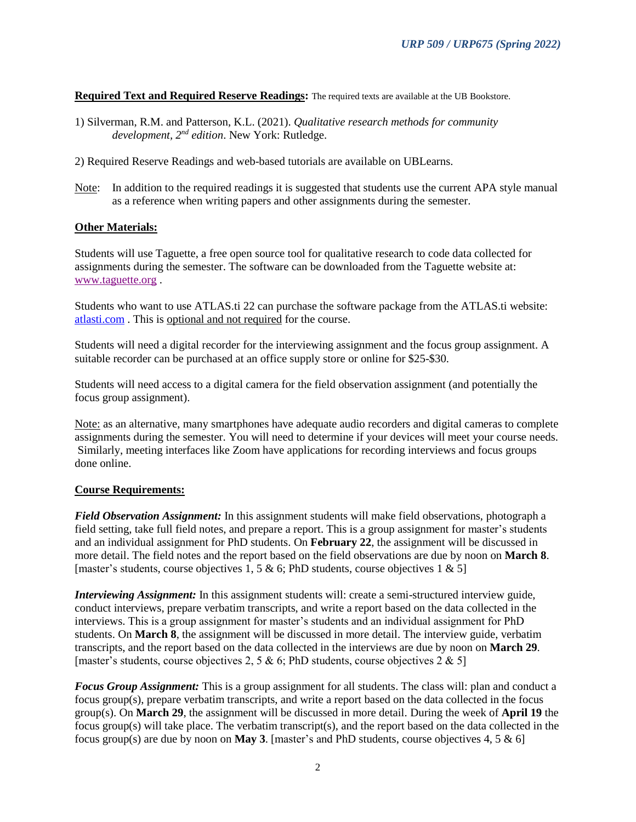**Required Text and Required Reserve Readings:** The required texts are available at the UB Bookstore.

- 1) Silverman, R.M. and Patterson, K.L. (2021). *Qualitative research methods for community development, 2nd edition*. New York: Rutledge.
- 2) Required Reserve Readings and web-based tutorials are available on UBLearns.
- Note: In addition to the required readings it is suggested that students use the current APA style manual as a reference when writing papers and other assignments during the semester.

### **Other Materials:**

Students will use Taguette, a free open source tool for qualitative research to code data collected for assignments during the semester. The software can be downloaded from the Taguette website at: [www.taguette.org](http://www.taguette.org/) .

Students who want to use ATLAS.ti 22 can purchase the software package from the ATLAS.ti website: [atlasti.com](http://www.atlasti.com/) . This is optional and not required for the course.

Students will need a digital recorder for the interviewing assignment and the focus group assignment. A suitable recorder can be purchased at an office supply store or online for \$25-\$30.

Students will need access to a digital camera for the field observation assignment (and potentially the focus group assignment).

Note: as an alternative, many smartphones have adequate audio recorders and digital cameras to complete assignments during the semester. You will need to determine if your devices will meet your course needs. Similarly, meeting interfaces like Zoom have applications for recording interviews and focus groups done online.

### **Course Requirements:**

*Field Observation Assignment:* In this assignment students will make field observations, photograph a field setting, take full field notes, and prepare a report. This is a group assignment for master's students and an individual assignment for PhD students. On **February 22**, the assignment will be discussed in more detail. The field notes and the report based on the field observations are due by noon on **March 8**. [master's students, course objectives 1, 5 & 6; PhD students, course objectives 1 & 5]

*Interviewing Assignment:* In this assignment students will: create a semi-structured interview guide, conduct interviews, prepare verbatim transcripts, and write a report based on the data collected in the interviews. This is a group assignment for master's students and an individual assignment for PhD students. On **March 8**, the assignment will be discussed in more detail. The interview guide, verbatim transcripts, and the report based on the data collected in the interviews are due by noon on **March 29**. [master's students, course objectives 2, 5 & 6; PhD students, course objectives 2 & 5]

*Focus Group Assignment:* This is a group assignment for all students. The class will: plan and conduct a focus group(s), prepare verbatim transcripts, and write a report based on the data collected in the focus group(s). On **March 29**, the assignment will be discussed in more detail. During the week of **April 19** the focus group(s) will take place. The verbatim transcript(s), and the report based on the data collected in the focus group(s) are due by noon on **May 3**. [master's and PhD students, course objectives 4, 5 & 6]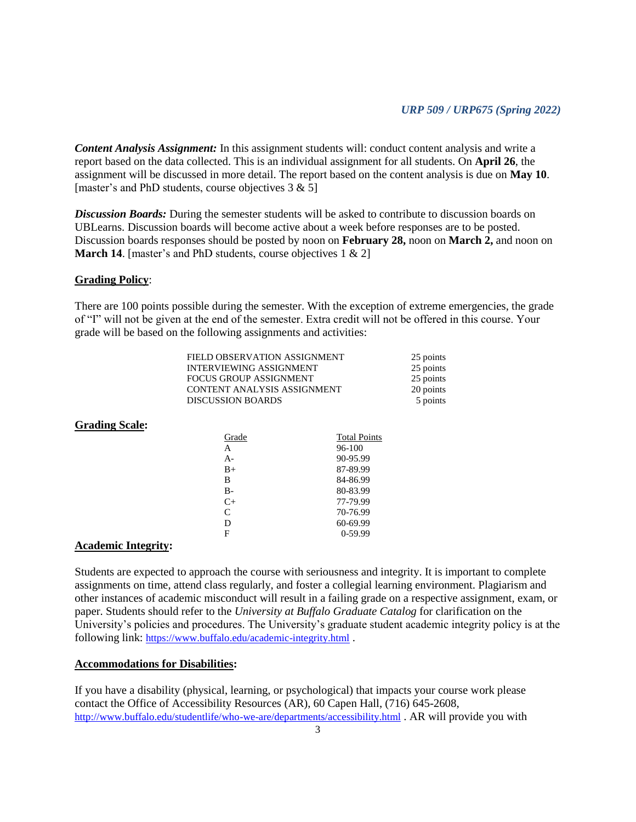*Content Analysis Assignment:* In this assignment students will: conduct content analysis and write a report based on the data collected. This is an individual assignment for all students. On **April 26**, the assignment will be discussed in more detail. The report based on the content analysis is due on **May 10**. [master's and PhD students, course objectives  $3 & 5$ ]

**Discussion Boards:** During the semester students will be asked to contribute to discussion boards on UBLearns. Discussion boards will become active about a week before responses are to be posted. Discussion boards responses should be posted by noon on **February 28,** noon on **March 2,** and noon on **March 14.** [master's and PhD students, course objectives 1 & 2]

### **Grading Policy**:

There are 100 points possible during the semester. With the exception of extreme emergencies, the grade of "I" will not be given at the end of the semester. Extra credit will not be offered in this course. Your grade will be based on the following assignments and activities:

| FIELD OBSERVATION ASSIGNMENT   | 25 points |
|--------------------------------|-----------|
| <b>INTERVIEWING ASSIGNMENT</b> | 25 points |
| FOCUS GROUP ASSIGNMENT         | 25 points |
| CONTENT ANALYSIS ASSIGNMENT    | 20 points |
| <b>DISCUSSION BOARDS</b>       | 5 points  |

#### **Grading Scale:**

| Grade        | <b>Total Points</b> |
|--------------|---------------------|
| A            | 96-100              |
| $A -$        | 90-95.99            |
| $B+$         | 87-89.99            |
| B            | 84-86.99            |
| B-           | 80-83.99            |
| $C+$         | 77-79.99            |
| $\mathsf{C}$ | 70-76.99            |
| D            | 60-69.99            |
| F            | $0-59.99$           |
|              |                     |

### **Academic Integrity:**

Students are expected to approach the course with seriousness and integrity. It is important to complete assignments on time, attend class regularly, and foster a collegial learning environment. Plagiarism and other instances of academic misconduct will result in a failing grade on a respective assignment, exam, or paper. Students should refer to the *University at Buffalo Graduate Catalog* for clarification on the University's policies and procedures. The University's graduate student academic integrity policy is at the following link: <https://www.buffalo.edu/academic-integrity.html> .

### **Accommodations for Disabilities:**

If you have a disability (physical, learning, or psychological) that impacts your course work please contact the Office of Accessibility Resources (AR), 60 Capen Hall, (716) 645-2608, <http://www.buffalo.edu/studentlife/who-we-are/departments/accessibility.html> . AR will provide you with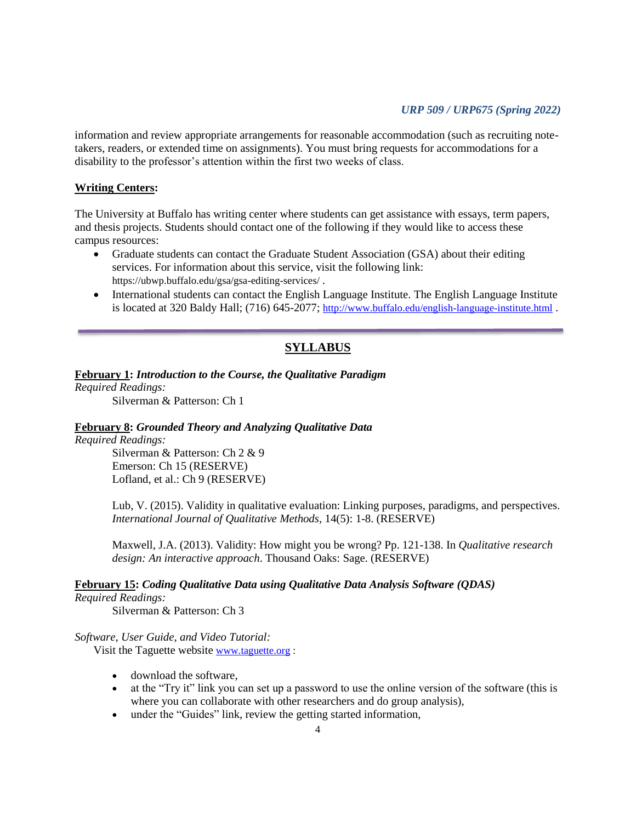### *URP 509 / URP675 (Spring 2022)*

information and review appropriate arrangements for reasonable accommodation (such as recruiting notetakers, readers, or extended time on assignments). You must bring requests for accommodations for a disability to the professor's attention within the first two weeks of class.

# **Writing Centers:**

The University at Buffalo has writing center where students can get assistance with essays, term papers, and thesis projects. Students should contact one of the following if they would like to access these campus resources:

- Graduate students can contact the Graduate Student Association (GSA) about their editing services. For information about this service, visit the following link: https://ubwp.buffalo.edu/gsa/gsa-editing-services/ .
- International students can contact the English Language Institute. The English Language Institute is located at 320 Baldy Hall; (716) 645-2077; <http://www.buffalo.edu/english-language-institute.html>.

# **SYLLABUS**

### **February 1:** *Introduction to the Course, the Qualitative Paradigm*

*Required Readings:*

Silverman & Patterson: Ch 1

### **February 8:** *Grounded Theory and Analyzing Qualitative Data*

*Required Readings:*

Silverman & Patterson: Ch 2 & 9 Emerson: Ch 15 (RESERVE) Lofland, et al.: Ch 9 (RESERVE)

Lub, V. (2015). Validity in qualitative evaluation: Linking purposes, paradigms, and perspectives. *International Journal of Qualitative Methods,* 14(5): 1-8. (RESERVE)

Maxwell, J.A. (2013). Validity: How might you be wrong? Pp. 121-138. In *Qualitative research design: An interactive approach*. Thousand Oaks: Sage. (RESERVE)

### **February 15:** *Coding Qualitative Data using Qualitative Data Analysis Software (QDAS)*

### *Required Readings:*

Silverman & Patterson: Ch 3

#### *Software, User Guide, and Video Tutorial:*

Visit the Taguette website [www.taguette.org](http://www.taguette.org/) :

- download the software,
- at the "Try it" link you can set up a password to use the online version of the software (this is where you can collaborate with other researchers and do group analysis),
- under the "Guides" link, review the getting started information,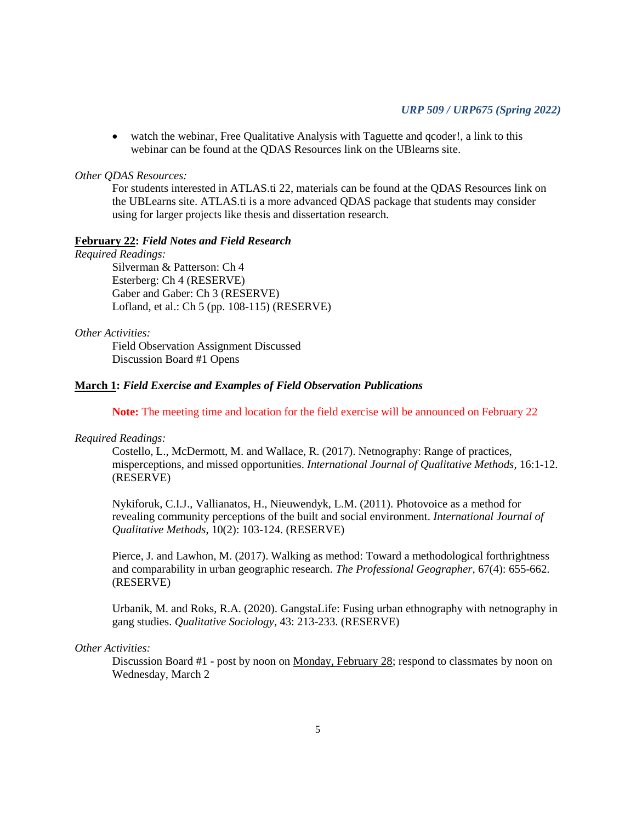• watch the webinar, Free Qualitative Analysis with Taguette and gcoder!, a link to this webinar can be found at the QDAS Resources link on the UBlearns site.

#### *Other QDAS Resources:*

For students interested in ATLAS.ti 22, materials can be found at the QDAS Resources link on the UBLearns site. ATLAS.ti is a more advanced QDAS package that students may consider using for larger projects like thesis and dissertation research.

#### **February 22:** *Field Notes and Field Research*

### *Required Readings:*

Silverman & Patterson: Ch 4 Esterberg: Ch 4 (RESERVE) Gaber and Gaber: Ch 3 (RESERVE) Lofland, et al.: Ch 5 (pp. 108-115) (RESERVE)

### *Other Activities:*

Field Observation Assignment Discussed Discussion Board #1 Opens

### **March 1:** *Field Exercise and Examples of Field Observation Publications*

**Note:** The meeting time and location for the field exercise will be announced on February 22

#### *Required Readings:*

Costello, L., McDermott, M. and Wallace, R. (2017). Netnography: Range of practices, misperceptions, and missed opportunities. *International Journal of Qualitative Methods*, 16:1-12. (RESERVE)

Nykiforuk, C.I.J., Vallianatos, H., Nieuwendyk, L.M. (2011). Photovoice as a method for revealing community perceptions of the built and social environment. *International Journal of Qualitative Methods*, 10(2): 103-124. (RESERVE)

Pierce, J. and Lawhon, M. (2017). Walking as method: Toward a methodological forthrightness and comparability in urban geographic research. *The Professional Geographer*, 67(4): 655-662. (RESERVE)

Urbanik, M. and Roks, R.A. (2020). GangstaLife: Fusing urban ethnography with netnography in gang studies. *Qualitative Sociology*, 43: 213-233. (RESERVE)

### *Other Activities:*

Discussion Board #1 - post by noon on Monday, February 28; respond to classmates by noon on Wednesday, March 2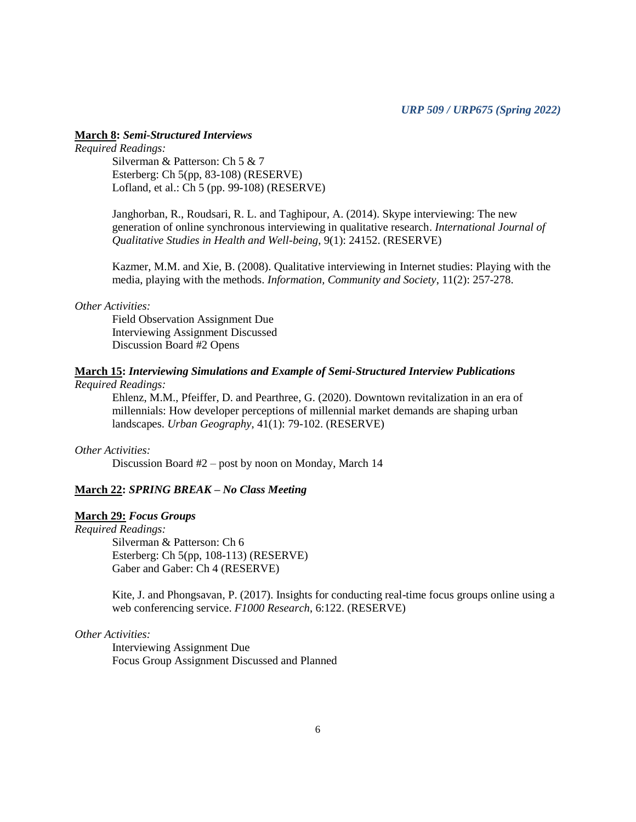### **March 8:** *Semi-Structured Interviews*

# *Required Readings:*

Silverman & Patterson: Ch 5 & 7 Esterberg: Ch 5(pp, 83-108) (RESERVE) Lofland, et al.: Ch 5 (pp. 99-108) (RESERVE)

Janghorban, R., Roudsari, R. L. and Taghipour, A. (2014). Skype interviewing: The new generation of online synchronous interviewing in qualitative research. *International Journal of Qualitative Studies in Health and Well-being*, 9(1): 24152. (RESERVE)

Kazmer, M.M. and Xie, B. (2008). Qualitative interviewing in Internet studies: Playing with the media, playing with the methods. *Information, Community and Society*, 11(2): 257-278.

#### *Other Activities:*

Field Observation Assignment Due Interviewing Assignment Discussed Discussion Board #2 Opens

### **March 15:** *Interviewing Simulations and Example of Semi-Structured Interview Publications Required Readings:*

Ehlenz, M.M., Pfeiffer, D. and Pearthree, G. (2020). Downtown revitalization in an era of millennials: How developer perceptions of millennial market demands are shaping urban landscapes. *Urban Geography*, 41(1): 79-102. (RESERVE)

#### *Other Activities:*

Discussion Board #2 – post by noon on Monday, March 14

### **March 22:** *SPRING BREAK – No Class Meeting*

### **March 29:** *Focus Groups*

*Required Readings:*

Silverman & Patterson: Ch 6 Esterberg: Ch 5(pp, 108-113) (RESERVE) Gaber and Gaber: Ch 4 (RESERVE)

Kite, J. and Phongsavan, P. (2017). Insights for conducting real-time focus groups online using a web conferencing service. *F1000 Research*, 6:122. (RESERVE)

### *Other Activities:*

Interviewing Assignment Due Focus Group Assignment Discussed and Planned